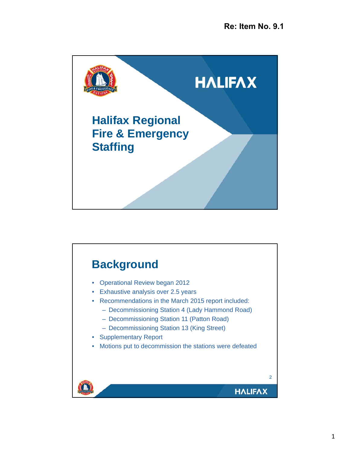

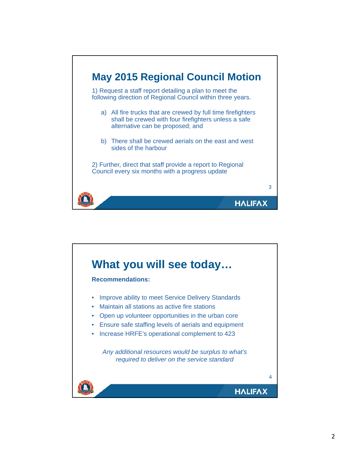

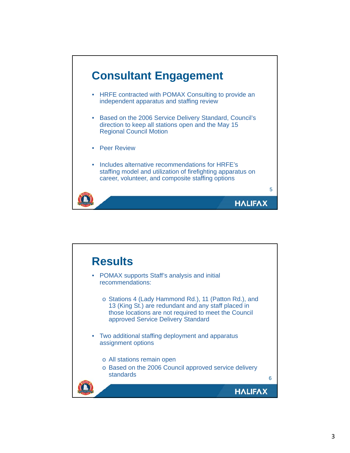

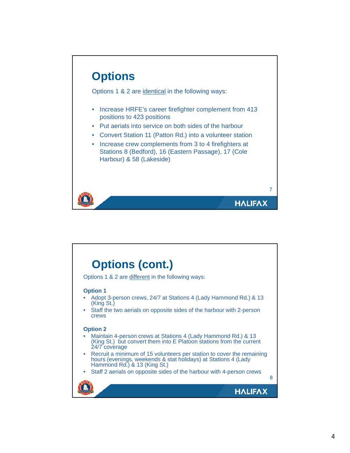

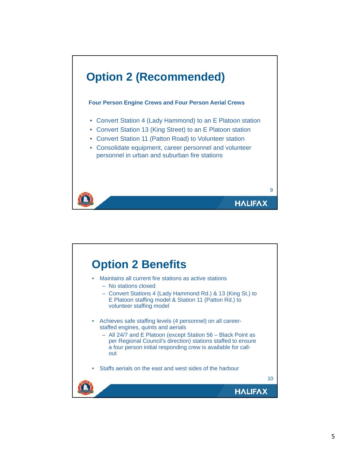

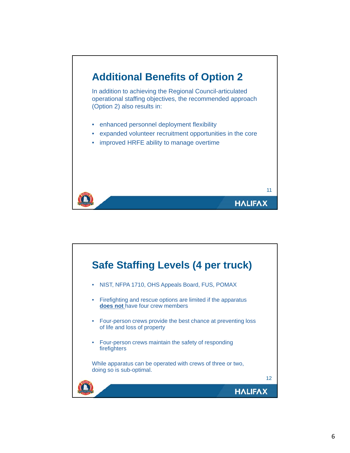

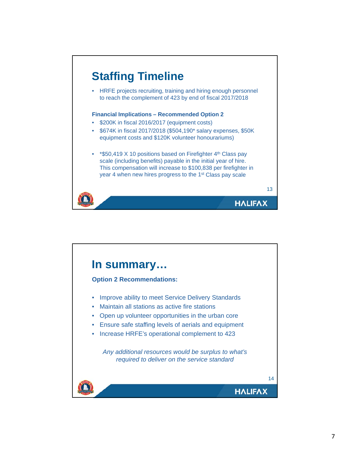